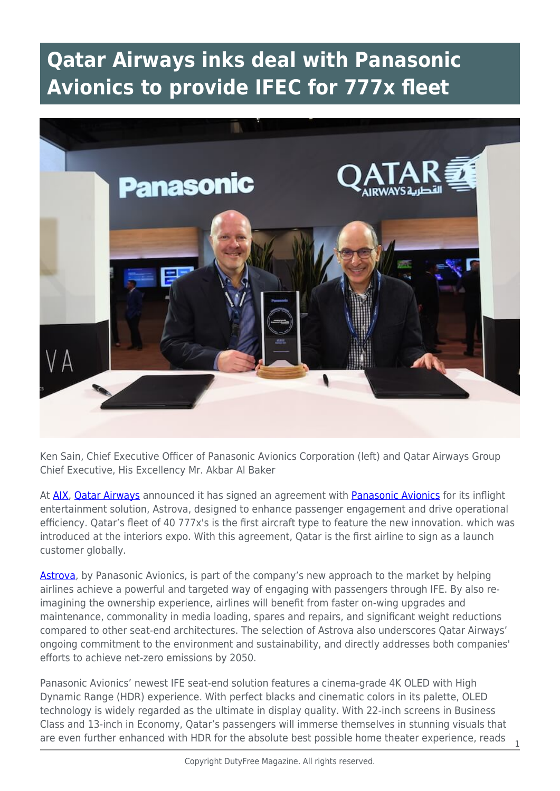## **Qatar Airways inks deal with Panasonic Avionics to provide IFEC for 777x fleet**



Ken Sain, Chief Executive Officer of Panasonic Avionics Corporation (left) and Qatar Airways Group Chief Executive, His Excellency Mr. Akbar Al Baker

At [AIX,](https://www.aircraftinteriorsexpo.com/) [Qatar Airways](https://www.qatarairways.com/en-ca/homepage.html) announced it has signed an agreement with [Panasonic Avionics](https://www.panasonic.aero/) for its inflight entertainment solution, Astrova, designed to enhance passenger engagement and drive operational efficiency. Qatar's fleet of 40 777x's is the first aircraft type to feature the new innovation. which was introduced at the interiors expo. With this agreement, Qatar is the first airline to sign as a launch customer globally.

[Astrova](https://www.pax-intl.com/ife-connectivity/inflight-entertainment/2022/06/14/panasonic-gives-first-look-at-astrova-ife/#.YrHJ5uzMKIY), by Panasonic Avionics, is part of the company's new approach to the market by helping airlines achieve a powerful and targeted way of engaging with passengers through IFE. By also reimagining the ownership experience, airlines will benefit from faster on-wing upgrades and maintenance, commonality in media loading, spares and repairs, and significant weight reductions compared to other seat-end architectures. The selection of Astrova also underscores Qatar Airways' ongoing commitment to the environment and sustainability, and directly addresses both companies' efforts to achieve net-zero emissions by 2050.

Panasonic Avionics' newest IFE seat-end solution features a cinema-grade 4K OLED with High Dynamic Range (HDR) experience. With perfect blacks and cinematic colors in its palette, OLED technology is widely regarded as the ultimate in display quality. With 22-inch screens in Business Class and 13-inch in Economy, Qatar's passengers will immerse themselves in stunning visuals that are even further enhanced with HDR for the absolute best possible home theater experience, reads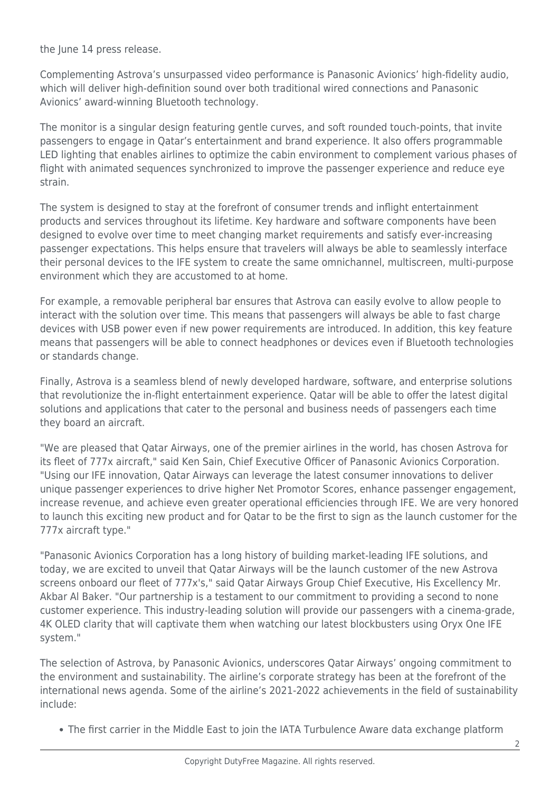the June 14 press release.

Complementing Astrova's unsurpassed video performance is Panasonic Avionics' high-fidelity audio, which will deliver high-definition sound over both traditional wired connections and Panasonic Avionics' award-winning Bluetooth technology.

The monitor is a singular design featuring gentle curves, and soft rounded touch-points, that invite passengers to engage in Qatar's entertainment and brand experience. It also offers programmable LED lighting that enables airlines to optimize the cabin environment to complement various phases of flight with animated sequences synchronized to improve the passenger experience and reduce eye strain.

The system is designed to stay at the forefront of consumer trends and inflight entertainment products and services throughout its lifetime. Key hardware and software components have been designed to evolve over time to meet changing market requirements and satisfy ever-increasing passenger expectations. This helps ensure that travelers will always be able to seamlessly interface their personal devices to the IFE system to create the same omnichannel, multiscreen, multi-purpose environment which they are accustomed to at home.

For example, a removable peripheral bar ensures that Astrova can easily evolve to allow people to interact with the solution over time. This means that passengers will always be able to fast charge devices with USB power even if new power requirements are introduced. In addition, this key feature means that passengers will be able to connect headphones or devices even if Bluetooth technologies or standards change.

Finally, Astrova is a seamless blend of newly developed hardware, software, and enterprise solutions that revolutionize the in-flight entertainment experience. Qatar will be able to offer the latest digital solutions and applications that cater to the personal and business needs of passengers each time they board an aircraft.

"We are pleased that Qatar Airways, one of the premier airlines in the world, has chosen Astrova for its fleet of 777x aircraft," said Ken Sain, Chief Executive Officer of Panasonic Avionics Corporation. "Using our IFE innovation, Qatar Airways can leverage the latest consumer innovations to deliver unique passenger experiences to drive higher Net Promotor Scores, enhance passenger engagement, increase revenue, and achieve even greater operational efficiencies through IFE. We are very honored to launch this exciting new product and for Qatar to be the first to sign as the launch customer for the 777x aircraft type."

"Panasonic Avionics Corporation has a long history of building market-leading IFE solutions, and today, we are excited to unveil that Qatar Airways will be the launch customer of the new Astrova screens onboard our fleet of 777x's," said Qatar Airways Group Chief Executive, His Excellency Mr. Akbar Al Baker. "Our partnership is a testament to our commitment to providing a second to none customer experience. This industry-leading solution will provide our passengers with a cinema-grade, 4K OLED clarity that will captivate them when watching our latest blockbusters using Oryx One IFE system."

The selection of Astrova, by Panasonic Avionics, underscores Qatar Airways' ongoing commitment to the environment and sustainability. The airline's corporate strategy has been at the forefront of the international news agenda. Some of the airline's 2021-2022 achievements in the field of sustainability include:

The first carrier in the Middle East to join the IATA Turbulence Aware data exchange platform